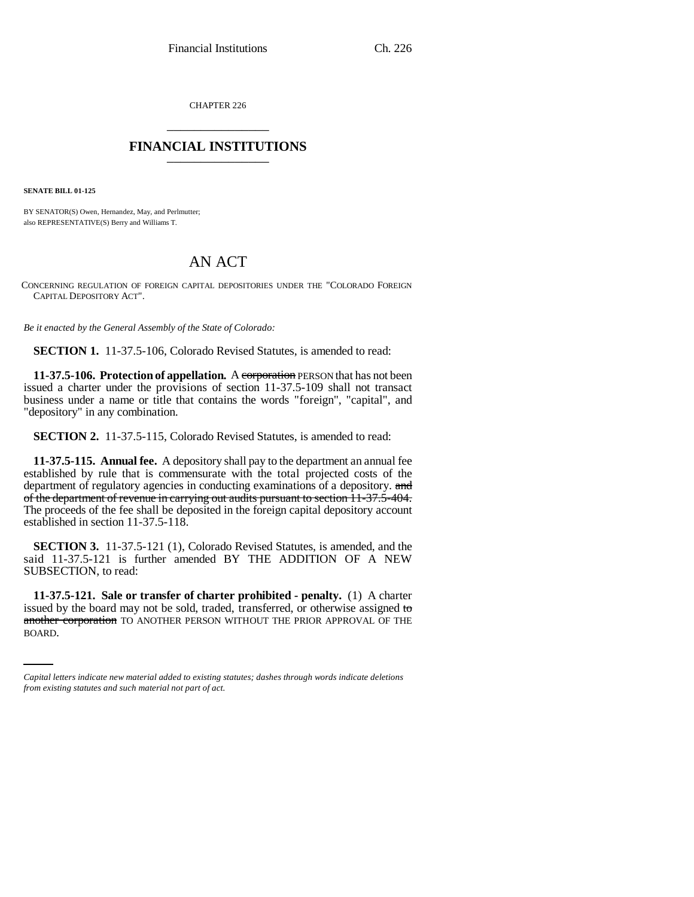CHAPTER 226 \_\_\_\_\_\_\_\_\_\_\_\_\_\_\_

## **FINANCIAL INSTITUTIONS** \_\_\_\_\_\_\_\_\_\_\_\_\_\_\_

**SENATE BILL 01-125**

BY SENATOR(S) Owen, Hernandez, May, and Perlmutter; also REPRESENTATIVE(S) Berry and Williams T.

## AN ACT

CONCERNING REGULATION OF FOREIGN CAPITAL DEPOSITORIES UNDER THE "COLORADO FOREIGN CAPITAL DEPOSITORY ACT".

*Be it enacted by the General Assembly of the State of Colorado:*

**SECTION 1.** 11-37.5-106, Colorado Revised Statutes, is amended to read:

**11-37.5-106. Protection of appellation.** A corporation PERSON that has not been issued a charter under the provisions of section 11-37.5-109 shall not transact business under a name or title that contains the words "foreign", "capital", and "depository" in any combination.

**SECTION 2.** 11-37.5-115, Colorado Revised Statutes, is amended to read:

**11-37.5-115. Annual fee.** A depository shall pay to the department an annual fee established by rule that is commensurate with the total projected costs of the department of regulatory agencies in conducting examinations of a depository. and of the department of revenue in carrying out audits pursuant to section 11-37.5-404. The proceeds of the fee shall be deposited in the foreign capital depository account established in section 11-37.5-118.

**SECTION 3.** 11-37.5-121 (1), Colorado Revised Statutes, is amended, and the said 11-37.5-121 is further amended BY THE ADDITION OF A NEW SUBSECTION, to read:

issued by the board may not be sold, traded, transferred, or otherwise assigned to **11-37.5-121. Sale or transfer of charter prohibited - penalty.** (1) A charter another corporation TO ANOTHER PERSON WITHOUT THE PRIOR APPROVAL OF THE BOARD.

*Capital letters indicate new material added to existing statutes; dashes through words indicate deletions from existing statutes and such material not part of act.*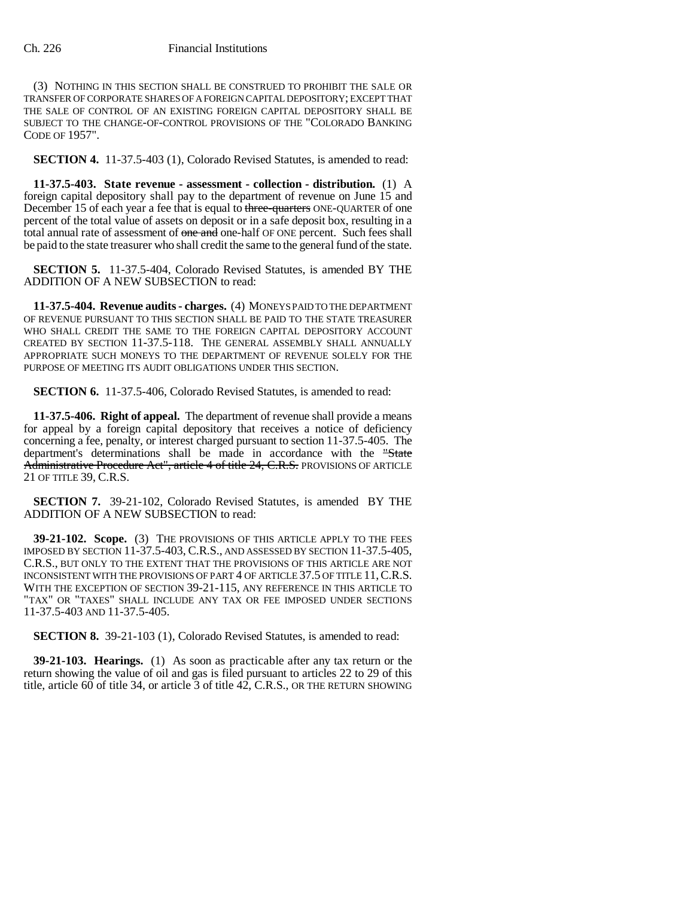(3) NOTHING IN THIS SECTION SHALL BE CONSTRUED TO PROHIBIT THE SALE OR TRANSFER OF CORPORATE SHARES OF A FOREIGN CAPITAL DEPOSITORY; EXCEPT THAT THE SALE OF CONTROL OF AN EXISTING FOREIGN CAPITAL DEPOSITORY SHALL BE SUBJECT TO THE CHANGE-OF-CONTROL PROVISIONS OF THE "COLORADO BANKING CODE OF 1957".

**SECTION 4.** 11-37.5-403 (1), Colorado Revised Statutes, is amended to read:

**11-37.5-403. State revenue - assessment - collection - distribution.** (1) A foreign capital depository shall pay to the department of revenue on June 15 and December 15 of each year a fee that is equal to three-quarters ONE-QUARTER of one percent of the total value of assets on deposit or in a safe deposit box, resulting in a total annual rate of assessment of one and one-half OF ONE percent. Such fees shall be paid to the state treasurer who shall credit the same to the general fund of the state.

**SECTION 5.** 11-37.5-404, Colorado Revised Statutes, is amended BY THE ADDITION OF A NEW SUBSECTION to read:

**11-37.5-404. Revenue audits - charges.** (4) MONEYS PAID TO THE DEPARTMENT OF REVENUE PURSUANT TO THIS SECTION SHALL BE PAID TO THE STATE TREASURER WHO SHALL CREDIT THE SAME TO THE FOREIGN CAPITAL DEPOSITORY ACCOUNT CREATED BY SECTION 11-37.5-118. THE GENERAL ASSEMBLY SHALL ANNUALLY APPROPRIATE SUCH MONEYS TO THE DEPARTMENT OF REVENUE SOLELY FOR THE PURPOSE OF MEETING ITS AUDIT OBLIGATIONS UNDER THIS SECTION.

**SECTION 6.** 11-37.5-406, Colorado Revised Statutes, is amended to read:

**11-37.5-406. Right of appeal.** The department of revenue shall provide a means for appeal by a foreign capital depository that receives a notice of deficiency concerning a fee, penalty, or interest charged pursuant to section 11-37.5-405. The department's determinations shall be made in accordance with the "State Administrative Procedure Act", article 4 of title 24, C.R.S. PROVISIONS OF ARTICLE 21 OF TITLE 39, C.R.S.

**SECTION 7.** 39-21-102, Colorado Revised Statutes, is amended BY THE ADDITION OF A NEW SUBSECTION to read:

**39-21-102. Scope.** (3) THE PROVISIONS OF THIS ARTICLE APPLY TO THE FEES IMPOSED BY SECTION 11-37.5-403, C.R.S., AND ASSESSED BY SECTION 11-37.5-405, C.R.S., BUT ONLY TO THE EXTENT THAT THE PROVISIONS OF THIS ARTICLE ARE NOT INCONSISTENT WITH THE PROVISIONS OF PART 4 OF ARTICLE 37.5 OF TITLE 11,C.R.S. WITH THE EXCEPTION OF SECTION 39-21-115, ANY REFERENCE IN THIS ARTICLE TO "TAX" OR "TAXES" SHALL INCLUDE ANY TAX OR FEE IMPOSED UNDER SECTIONS 11-37.5-403 AND 11-37.5-405.

**SECTION 8.** 39-21-103 (1), Colorado Revised Statutes, is amended to read:

**39-21-103. Hearings.** (1) As soon as practicable after any tax return or the return showing the value of oil and gas is filed pursuant to articles 22 to 29 of this title, article 60 of title 34, or article 3 of title 42, C.R.S., OR THE RETURN SHOWING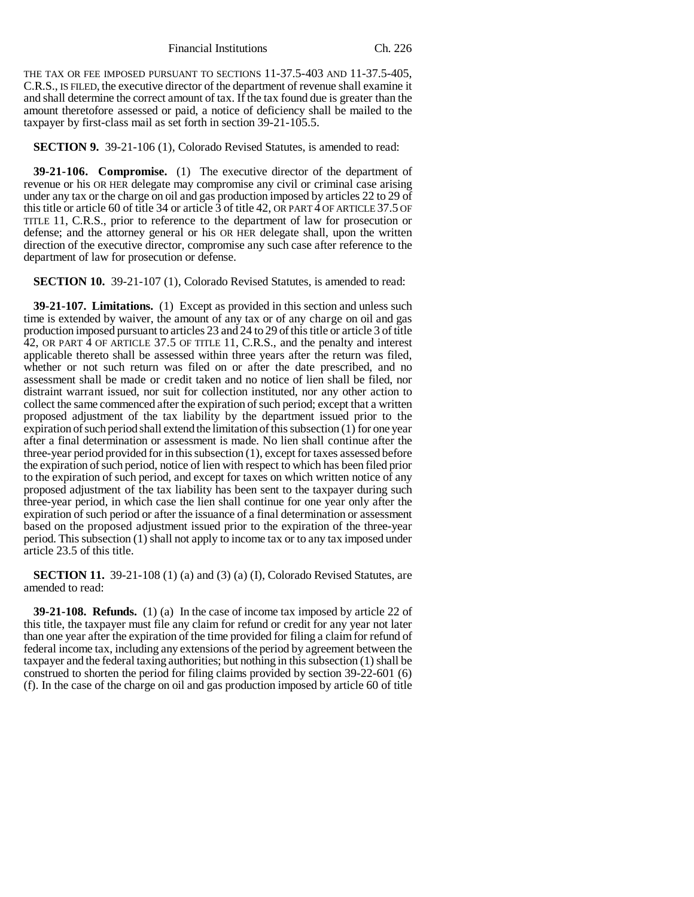Financial Institutions Ch. 226

THE TAX OR FEE IMPOSED PURSUANT TO SECTIONS 11-37.5-403 AND 11-37.5-405, C.R.S., IS FILED, the executive director of the department of revenue shall examine it and shall determine the correct amount of tax. If the tax found due is greater than the amount theretofore assessed or paid, a notice of deficiency shall be mailed to the taxpayer by first-class mail as set forth in section 39-21-105.5.

## **SECTION 9.** 39-21-106 (1), Colorado Revised Statutes, is amended to read:

**39-21-106. Compromise.** (1) The executive director of the department of revenue or his OR HER delegate may compromise any civil or criminal case arising under any tax or the charge on oil and gas production imposed by articles 22 to 29 of this title or article 60 of title 34 or article 3 of title 42, OR PART 4 OF ARTICLE 37.5 OF TITLE 11, C.R.S., prior to reference to the department of law for prosecution or defense; and the attorney general or his OR HER delegate shall, upon the written direction of the executive director, compromise any such case after reference to the department of law for prosecution or defense.

**SECTION 10.** 39-21-107 (1), Colorado Revised Statutes, is amended to read:

**39-21-107. Limitations.** (1) Except as provided in this section and unless such time is extended by waiver, the amount of any tax or of any charge on oil and gas production imposed pursuant to articles 23 and 24 to 29 of this title or article 3 of title 42, OR PART 4 OF ARTICLE 37.5 OF TITLE 11, C.R.S., and the penalty and interest applicable thereto shall be assessed within three years after the return was filed, whether or not such return was filed on or after the date prescribed, and no assessment shall be made or credit taken and no notice of lien shall be filed, nor distraint warrant issued, nor suit for collection instituted, nor any other action to collect the same commenced after the expiration of such period; except that a written proposed adjustment of the tax liability by the department issued prior to the expiration of such period shall extend the limitation of this subsection (1) for one year after a final determination or assessment is made. No lien shall continue after the three-year period provided for in this subsection (1), except for taxes assessed before the expiration of such period, notice of lien with respect to which has been filed prior to the expiration of such period, and except for taxes on which written notice of any proposed adjustment of the tax liability has been sent to the taxpayer during such three-year period, in which case the lien shall continue for one year only after the expiration of such period or after the issuance of a final determination or assessment based on the proposed adjustment issued prior to the expiration of the three-year period. This subsection (1) shall not apply to income tax or to any tax imposed under article 23.5 of this title.

**SECTION 11.** 39-21-108 (1) (a) and (3) (a) (I), Colorado Revised Statutes, are amended to read:

**39-21-108. Refunds.** (1) (a) In the case of income tax imposed by article 22 of this title, the taxpayer must file any claim for refund or credit for any year not later than one year after the expiration of the time provided for filing a claim for refund of federal income tax, including any extensions of the period by agreement between the taxpayer and the federal taxing authorities; but nothing in this subsection (1) shall be construed to shorten the period for filing claims provided by section 39-22-601 (6) (f). In the case of the charge on oil and gas production imposed by article 60 of title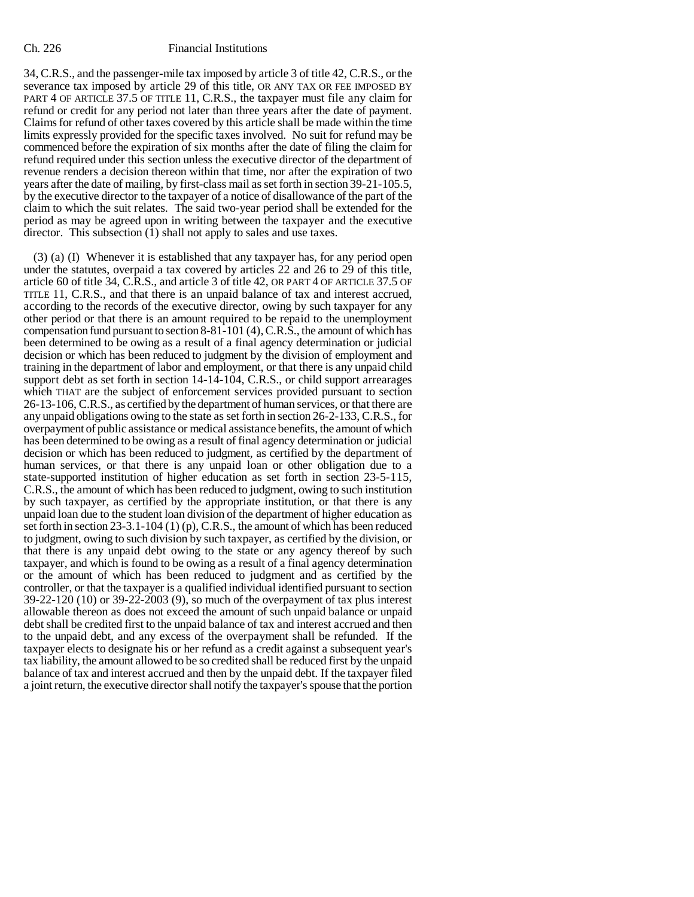34, C.R.S., and the passenger-mile tax imposed by article 3 of title 42, C.R.S., or the severance tax imposed by article 29 of this title, OR ANY TAX OR FEE IMPOSED BY PART 4 OF ARTICLE 37.5 OF TITLE 11, C.R.S., the taxpayer must file any claim for refund or credit for any period not later than three years after the date of payment. Claims for refund of other taxes covered by this article shall be made within the time limits expressly provided for the specific taxes involved. No suit for refund may be commenced before the expiration of six months after the date of filing the claim for refund required under this section unless the executive director of the department of revenue renders a decision thereon within that time, nor after the expiration of two years after the date of mailing, by first-class mail as set forth in section 39-21-105.5, by the executive director to the taxpayer of a notice of disallowance of the part of the claim to which the suit relates. The said two-year period shall be extended for the period as may be agreed upon in writing between the taxpayer and the executive director. This subsection (1) shall not apply to sales and use taxes.

(3) (a) (I) Whenever it is established that any taxpayer has, for any period open under the statutes, overpaid a tax covered by articles 22 and 26 to 29 of this title, article 60 of title 34, C.R.S., and article 3 of title 42, OR PART 4 OF ARTICLE 37.5 OF TITLE 11, C.R.S., and that there is an unpaid balance of tax and interest accrued, according to the records of the executive director, owing by such taxpayer for any other period or that there is an amount required to be repaid to the unemployment compensation fund pursuant to section 8-81-101 (4), C.R.S., the amount of which has been determined to be owing as a result of a final agency determination or judicial decision or which has been reduced to judgment by the division of employment and training in the department of labor and employment, or that there is any unpaid child support debt as set forth in section 14-14-104, C.R.S., or child support arrearages which THAT are the subject of enforcement services provided pursuant to section 26-13-106, C.R.S., as certified by the department of human services, or that there are any unpaid obligations owing to the state as set forth in section 26-2-133, C.R.S., for overpayment of public assistance or medical assistance benefits, the amount of which has been determined to be owing as a result of final agency determination or judicial decision or which has been reduced to judgment, as certified by the department of human services, or that there is any unpaid loan or other obligation due to a state-supported institution of higher education as set forth in section 23-5-115, C.R.S., the amount of which has been reduced to judgment, owing to such institution by such taxpayer, as certified by the appropriate institution, or that there is any unpaid loan due to the student loan division of the department of higher education as set forth in section 23-3.1-104 (1) (p), C.R.S., the amount of which has been reduced to judgment, owing to such division by such taxpayer, as certified by the division, or that there is any unpaid debt owing to the state or any agency thereof by such taxpayer, and which is found to be owing as a result of a final agency determination or the amount of which has been reduced to judgment and as certified by the controller, or that the taxpayer is a qualified individual identified pursuant to section 39-22-120 (10) or 39-22-2003 (9), so much of the overpayment of tax plus interest allowable thereon as does not exceed the amount of such unpaid balance or unpaid debt shall be credited first to the unpaid balance of tax and interest accrued and then to the unpaid debt, and any excess of the overpayment shall be refunded. If the taxpayer elects to designate his or her refund as a credit against a subsequent year's tax liability, the amount allowed to be so credited shall be reduced first by the unpaid balance of tax and interest accrued and then by the unpaid debt. If the taxpayer filed a joint return, the executive director shall notify the taxpayer's spouse that the portion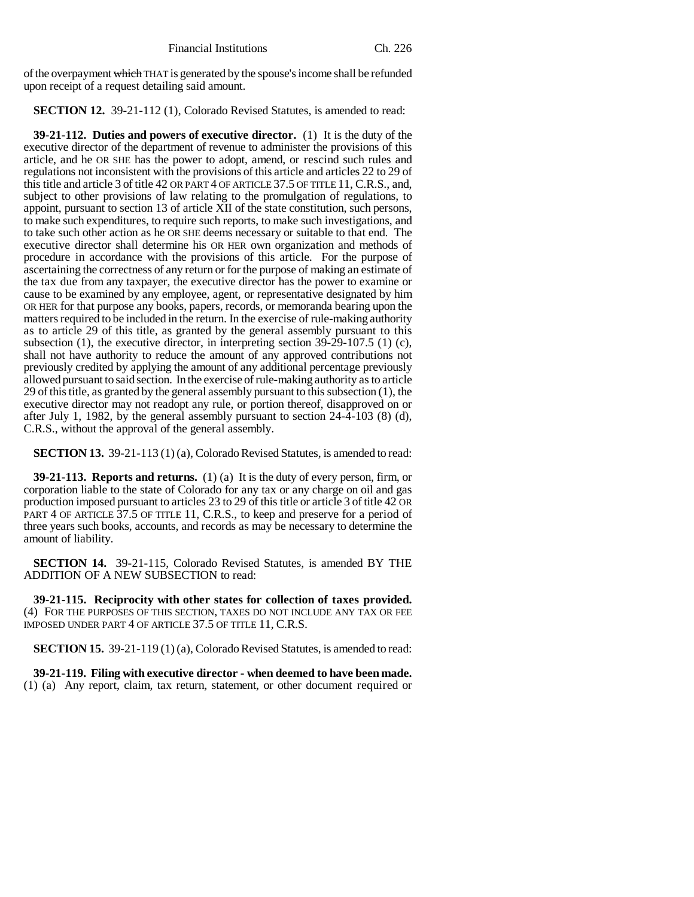of the overpayment which THAT is generated by the spouse's income shall be refunded upon receipt of a request detailing said amount.

**SECTION 12.** 39-21-112 (1), Colorado Revised Statutes, is amended to read:

**39-21-112. Duties and powers of executive director.** (1) It is the duty of the executive director of the department of revenue to administer the provisions of this article, and he OR SHE has the power to adopt, amend, or rescind such rules and regulations not inconsistent with the provisions of this article and articles 22 to 29 of this title and article 3 of title 42 OR PART 4 OF ARTICLE 37.5 OF TITLE 11, C.R.S., and, subject to other provisions of law relating to the promulgation of regulations, to appoint, pursuant to section 13 of article XII of the state constitution, such persons, to make such expenditures, to require such reports, to make such investigations, and to take such other action as he OR SHE deems necessary or suitable to that end. The executive director shall determine his OR HER own organization and methods of procedure in accordance with the provisions of this article. For the purpose of ascertaining the correctness of any return or for the purpose of making an estimate of the tax due from any taxpayer, the executive director has the power to examine or cause to be examined by any employee, agent, or representative designated by him OR HER for that purpose any books, papers, records, or memoranda bearing upon the matters required to be included in the return. In the exercise of rule-making authority as to article 29 of this title, as granted by the general assembly pursuant to this subsection (1), the executive director, in interpreting section 39-29-107.5 (1) (c), shall not have authority to reduce the amount of any approved contributions not previously credited by applying the amount of any additional percentage previously allowed pursuant to said section. In the exercise of rule-making authority as to article 29 of this title, as granted by the general assembly pursuant to this subsection (1), the executive director may not readopt any rule, or portion thereof, disapproved on or after July 1, 1982, by the general assembly pursuant to section 24-4-103 (8) (d), C.R.S., without the approval of the general assembly.

**SECTION 13.** 39-21-113 (1) (a), Colorado Revised Statutes, is amended to read:

**39-21-113. Reports and returns.** (1) (a) It is the duty of every person, firm, or corporation liable to the state of Colorado for any tax or any charge on oil and gas production imposed pursuant to articles 23 to 29 of this title or article 3 of title 42 OR PART 4 OF ARTICLE 37.5 OF TITLE 11, C.R.S., to keep and preserve for a period of three years such books, accounts, and records as may be necessary to determine the amount of liability.

**SECTION 14.** 39-21-115, Colorado Revised Statutes, is amended BY THE ADDITION OF A NEW SUBSECTION to read:

**39-21-115. Reciprocity with other states for collection of taxes provided.** (4) FOR THE PURPOSES OF THIS SECTION, TAXES DO NOT INCLUDE ANY TAX OR FEE IMPOSED UNDER PART 4 OF ARTICLE 37.5 OF TITLE 11, C.R.S.

**SECTION 15.** 39-21-119 (1) (a), Colorado Revised Statutes, is amended to read:

**39-21-119. Filing with executive director - when deemed to have been made.** (1) (a) Any report, claim, tax return, statement, or other document required or